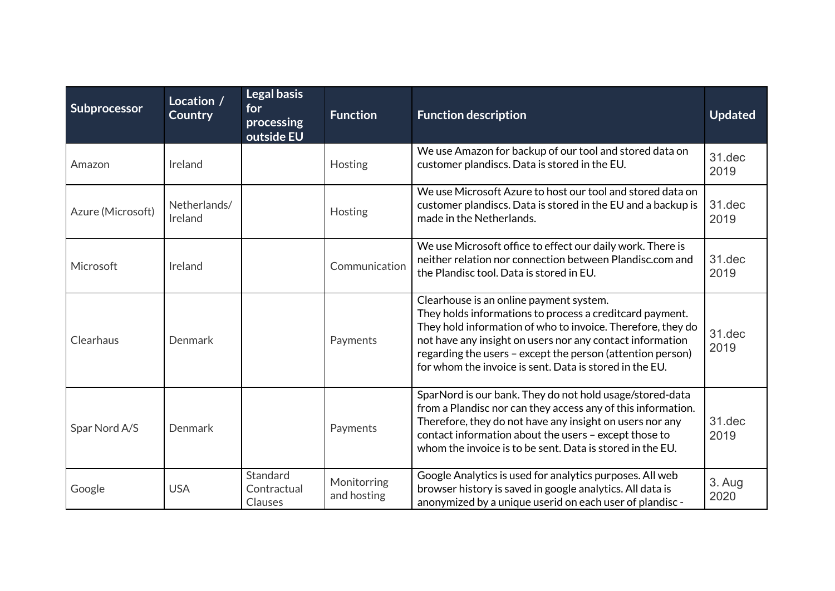| Subprocessor      | Location /<br><b>Country</b> | <b>Legal basis</b><br>for<br>processing<br>outside EU | <b>Function</b>            | <b>Function description</b>                                                                                                                                                                                                                                                                                                                              | <b>Updated</b> |
|-------------------|------------------------------|-------------------------------------------------------|----------------------------|----------------------------------------------------------------------------------------------------------------------------------------------------------------------------------------------------------------------------------------------------------------------------------------------------------------------------------------------------------|----------------|
| Amazon            | Ireland                      |                                                       | Hosting                    | We use Amazon for backup of our tool and stored data on<br>customer plandiscs. Data is stored in the EU.                                                                                                                                                                                                                                                 | 31.dec<br>2019 |
| Azure (Microsoft) | Netherlands/<br>Ireland      |                                                       | Hosting                    | We use Microsoft Azure to host our tool and stored data on<br>customer plandiscs. Data is stored in the EU and a backup is<br>made in the Netherlands.                                                                                                                                                                                                   | 31.dec<br>2019 |
| Microsoft         | Ireland                      |                                                       | Communication              | We use Microsoft office to effect our daily work. There is<br>neither relation nor connection between Plandisc.com and<br>the Plandisc tool. Data is stored in EU.                                                                                                                                                                                       | 31.dec<br>2019 |
| Clearhaus         | Denmark                      |                                                       | Payments                   | Clearhouse is an online payment system.<br>They holds informations to process a creditcard payment.<br>They hold information of who to invoice. Therefore, they do<br>not have any insight on users nor any contact information<br>regarding the users - except the person (attention person)<br>for whom the invoice is sent. Data is stored in the EU. | 31.dec<br>2019 |
| Spar Nord A/S     | Denmark                      |                                                       | Payments                   | SparNord is our bank. They do not hold usage/stored-data<br>from a Plandisc nor can they access any of this information.<br>Therefore, they do not have any insight on users nor any<br>contact information about the users - except those to<br>whom the invoice is to be sent. Data is stored in the EU.                                               | 31.dec<br>2019 |
| Google            | <b>USA</b>                   | Standard<br>Contractual<br>Clauses                    | Monitorring<br>and hosting | Google Analytics is used for analytics purposes. All web<br>browser history is saved in google analytics. All data is<br>anonymized by a unique userid on each user of plandisc -                                                                                                                                                                        | 3. Aug<br>2020 |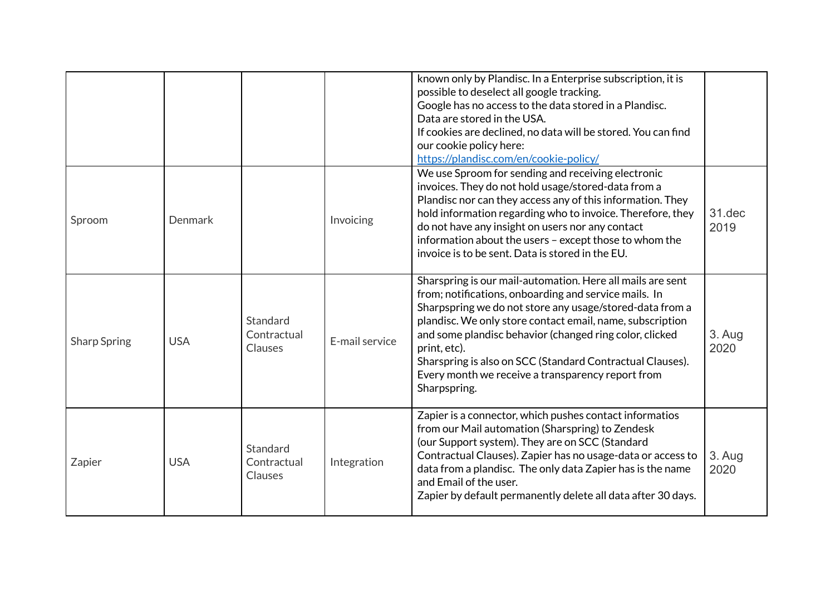|                     |            |                                    |                | known only by Plandisc. In a Enterprise subscription, it is<br>possible to deselect all google tracking.<br>Google has no access to the data stored in a Plandisc.<br>Data are stored in the USA.<br>If cookies are declined, no data will be stored. You can find<br>our cookie policy here:<br>https://plandisc.com/en/cookie-policy/                                                                                                                   |                |
|---------------------|------------|------------------------------------|----------------|-----------------------------------------------------------------------------------------------------------------------------------------------------------------------------------------------------------------------------------------------------------------------------------------------------------------------------------------------------------------------------------------------------------------------------------------------------------|----------------|
| Sproom              | Denmark    |                                    | Invoicing      | We use Sproom for sending and receiving electronic<br>invoices. They do not hold usage/stored-data from a<br>Plandisc nor can they access any of this information. They<br>hold information regarding who to invoice. Therefore, they<br>do not have any insight on users nor any contact<br>information about the users - except those to whom the<br>invoice is to be sent. Data is stored in the EU.                                                   | 31.dec<br>2019 |
| <b>Sharp Spring</b> | <b>USA</b> | Standard<br>Contractual<br>Clauses | E-mail service | Sharspring is our mail-automation. Here all mails are sent<br>from; notifications, onboarding and service mails. In<br>Sharpspring we do not store any usage/stored-data from a<br>plandisc. We only store contact email, name, subscription<br>and some plandisc behavior (changed ring color, clicked<br>print, etc).<br>Sharspring is also on SCC (Standard Contractual Clauses).<br>Every month we receive a transparency report from<br>Sharpspring. | 3. Aug<br>2020 |
| Zapier              | <b>USA</b> | Standard<br>Contractual<br>Clauses | Integration    | Zapier is a connector, which pushes contact informatios<br>from our Mail automation (Sharspring) to Zendesk<br>(our Support system). They are on SCC (Standard<br>Contractual Clauses). Zapier has no usage-data or access to<br>data from a plandisc. The only data Zapier has is the name<br>and Email of the user.<br>Zapier by default permanently delete all data after 30 days.                                                                     | 3. Aug<br>2020 |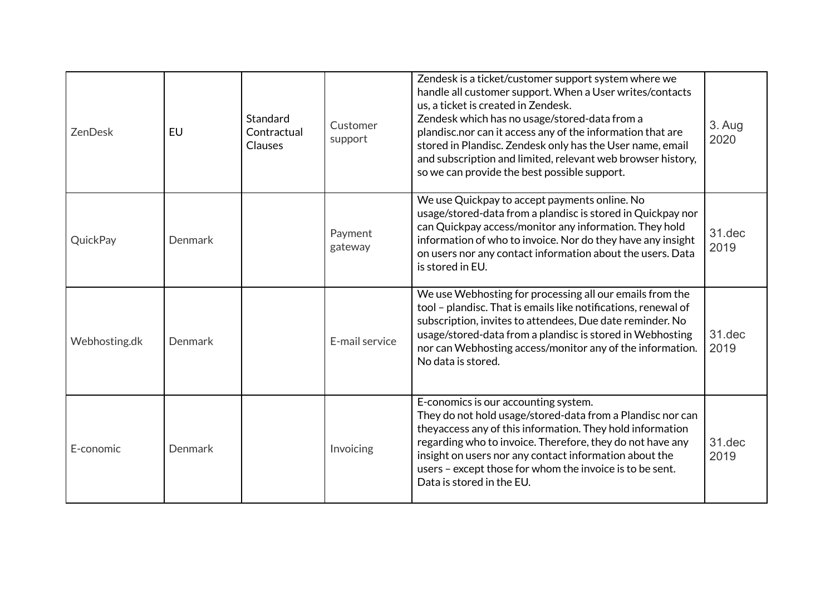| <b>ZenDesk</b> | EU             | Standard<br>Contractual<br><b>Clauses</b> | Customer<br>support | Zendesk is a ticket/customer support system where we<br>handle all customer support. When a User writes/contacts<br>us, a ticket is created in Zendesk.<br>Zendesk which has no usage/stored-data from a<br>plandisc.nor can it access any of the information that are<br>stored in Plandisc. Zendesk only has the User name, email<br>and subscription and limited, relevant web browser history,<br>so we can provide the best possible support. | 3. Aug<br>2020 |
|----------------|----------------|-------------------------------------------|---------------------|----------------------------------------------------------------------------------------------------------------------------------------------------------------------------------------------------------------------------------------------------------------------------------------------------------------------------------------------------------------------------------------------------------------------------------------------------|----------------|
| QuickPay       | <b>Denmark</b> |                                           | Payment<br>gateway  | We use Quickpay to accept payments online. No<br>usage/stored-data from a plandisc is stored in Quickpay nor<br>can Quickpay access/monitor any information. They hold<br>information of who to invoice. Nor do they have any insight<br>on users nor any contact information about the users. Data<br>is stored in EU.                                                                                                                            | 31.dec<br>2019 |
| Webhosting.dk  | <b>Denmark</b> |                                           | E-mail service      | We use Webhosting for processing all our emails from the<br>tool - plandisc. That is emails like notifications, renewal of<br>subscription, invites to attendees, Due date reminder. No<br>usage/stored-data from a plandisc is stored in Webhosting<br>nor can Webhosting access/monitor any of the information.<br>No data is stored.                                                                                                            | 31.dec<br>2019 |
| E-conomic      | Denmark        |                                           | Invoicing           | E-conomics is our accounting system.<br>They do not hold usage/stored-data from a Plandisc nor can<br>theyaccess any of this information. They hold information<br>regarding who to invoice. Therefore, they do not have any<br>insight on users nor any contact information about the<br>users - except those for whom the invoice is to be sent.<br>Data is stored in the EU.                                                                    | 31.dec<br>2019 |